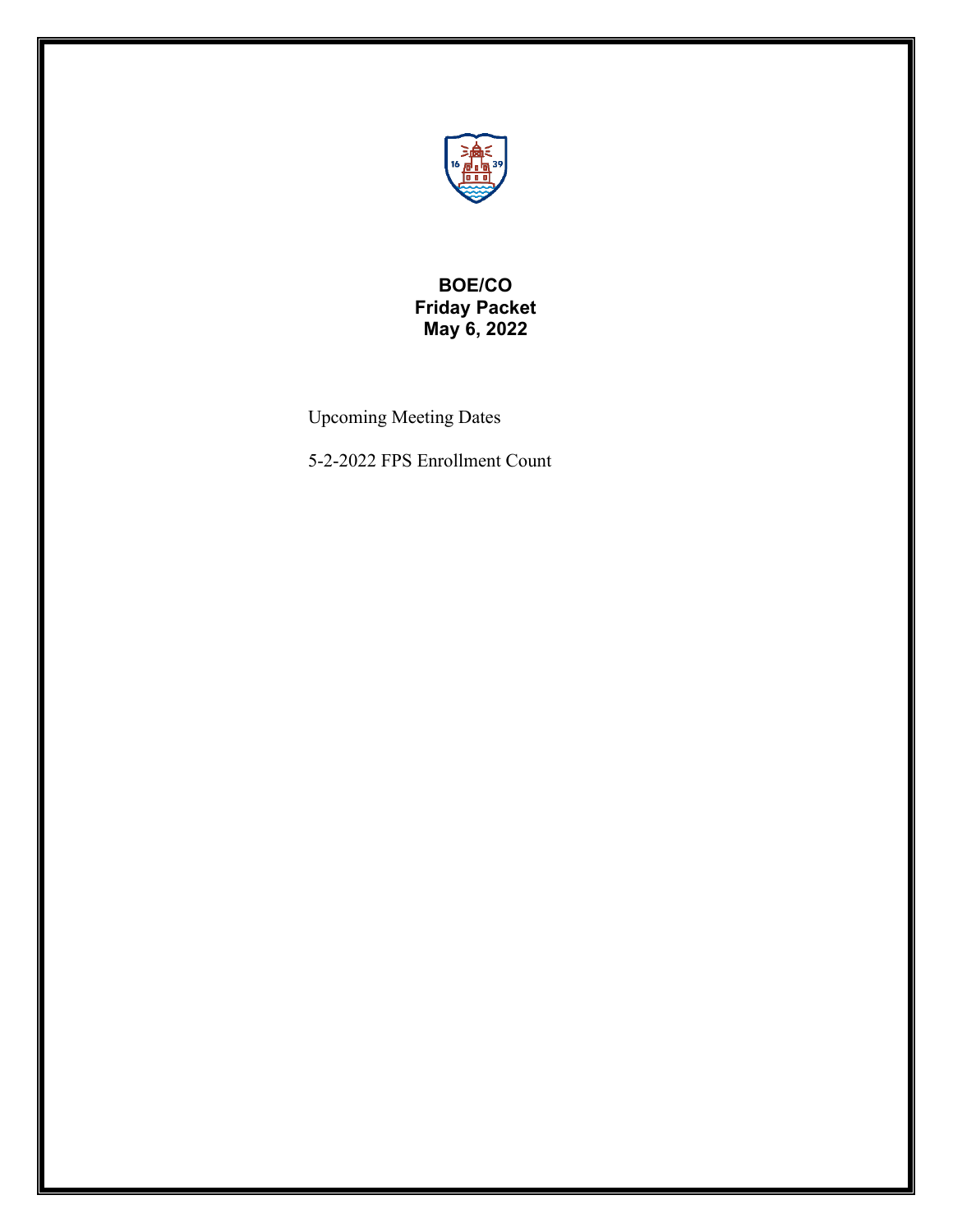

# **BOE/CO Friday Packet May 6, 2022**

Upcoming Meeting Dates

5-2-2022 FPS Enrollment Count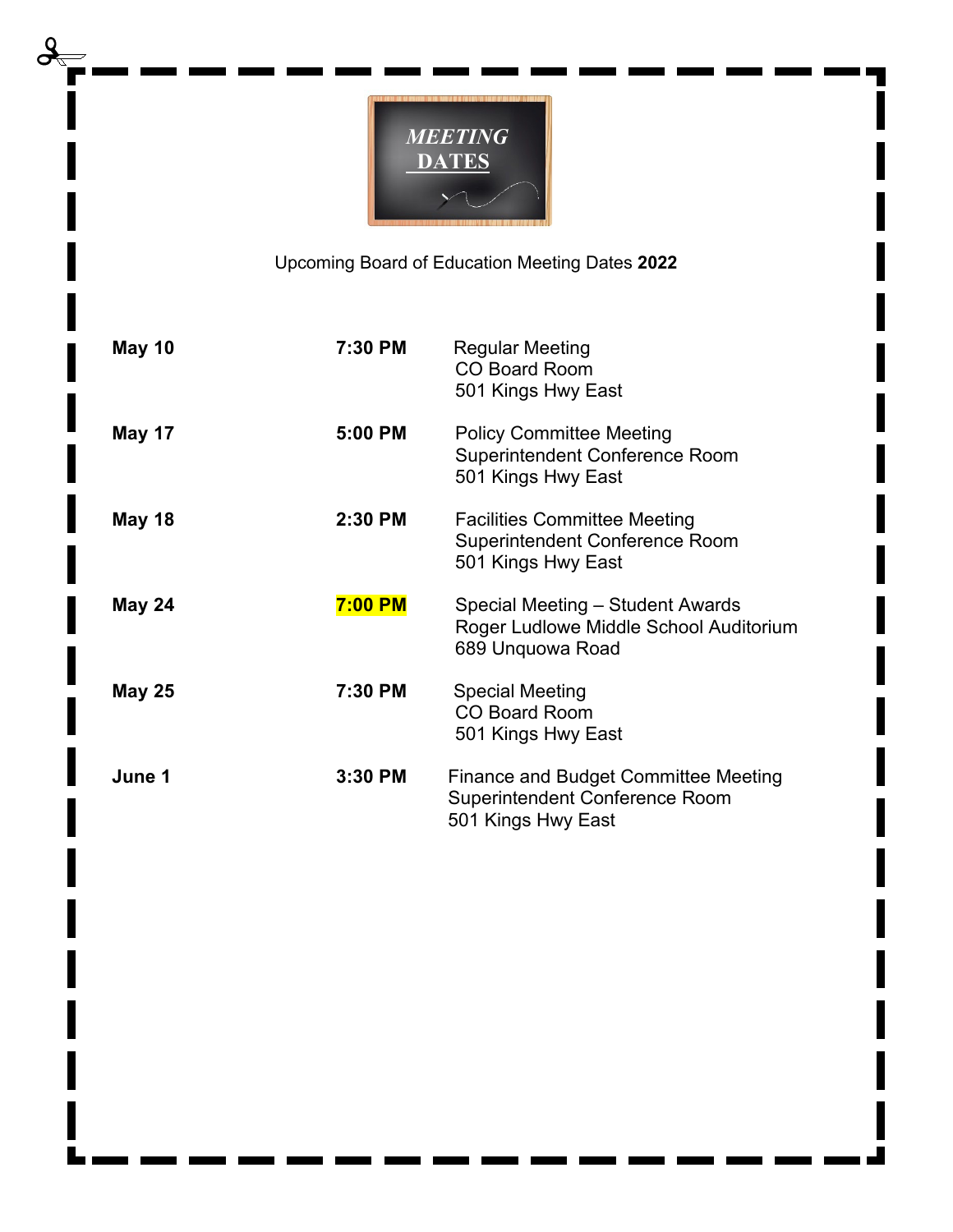

Upcoming Board of Education Meeting Dates **2022**

| <b>May 10</b> | 7:30 PM        | Regular Meeting<br><b>CO Board Room</b><br>501 Kings Hwy East                                       |
|---------------|----------------|-----------------------------------------------------------------------------------------------------|
| May 17        | 5:00 PM        | <b>Policy Committee Meeting</b><br><b>Superintendent Conference Room</b><br>501 Kings Hwy East      |
| <b>May 18</b> | 2:30 PM        | <b>Facilities Committee Meeting</b><br><b>Superintendent Conference Room</b><br>501 Kings Hwy East  |
| <b>May 24</b> | <b>7:00 PM</b> | Special Meeting – Student Awards<br>Roger Ludlowe Middle School Auditorium<br>689 Unquowa Road      |
| <b>May 25</b> | 7:30 PM        | <b>Special Meeting</b><br><b>CO Board Room</b><br>501 Kings Hwy East                                |
| June 1        | 3:30 PM        | Finance and Budget Committee Meeting<br><b>Superintendent Conference Room</b><br>501 Kings Hwy East |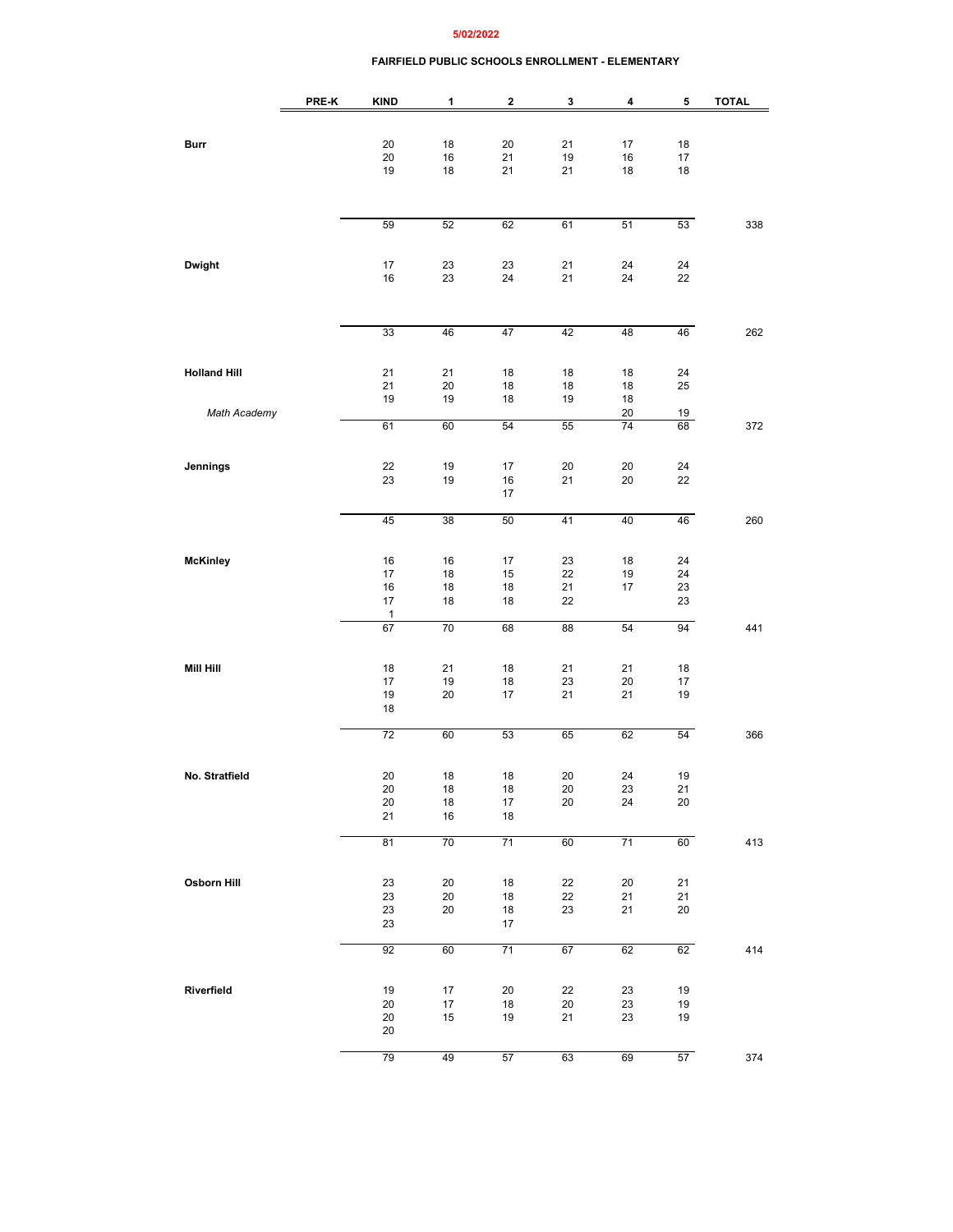### **5/02/2022**

### **FAIRFIELD PUBLIC SCHOOLS ENROLLMENT - ELEMENTARY**

|                     | PRE-K | <b>KIND</b>  | 1            | $\overline{\mathbf{2}}$ | 3      | 4               | 5      | <b>TOTAL</b> |
|---------------------|-------|--------------|--------------|-------------------------|--------|-----------------|--------|--------------|
|                     |       |              |              |                         |        |                 |        |              |
| Burr                |       | 20           | 18           | 20                      | 21     | 17              | 18     |              |
|                     |       | 20           | $16\,$       | 21                      | 19     | 16              | 17     |              |
|                     |       | 19           | 18           | 21                      | 21     | 18              | 18     |              |
|                     |       |              |              |                         |        |                 |        |              |
|                     |       |              |              |                         |        |                 |        |              |
|                     |       | 59           | 52           | 62                      | 61     | 51              | 53     | 338          |
|                     |       |              |              |                         |        |                 |        |              |
| Dwight              |       | 17           | 23           | 23                      | 21     | 24              | 24     |              |
|                     |       | $16\,$       | 23           | 24                      | 21     | 24              | 22     |              |
|                     |       |              |              |                         |        |                 |        |              |
|                     |       |              |              |                         |        |                 |        |              |
|                     |       | 33           | 46           | 47                      | 42     | 48              | 46     | 262          |
|                     |       |              |              |                         |        |                 |        |              |
| <b>Holland Hill</b> |       | 21           | 21           | 18                      | 18     | 18              | 24     |              |
|                     |       | 21           | 20           | 18                      | 18     | 18              | 25     |              |
| Math Academy        |       | 19           | 19           | 18                      | 19     | 18<br>20        | 19     |              |
|                     |       | 61           | 60           | 54                      | 55     | 74              | 68     | 372          |
|                     |       |              |              |                         |        |                 |        |              |
| Jennings            |       | 22           | 19           | 17                      | 20     | 20              | 24     |              |
|                     |       | 23           | 19           | 16                      | 21     | 20              | 22     |              |
|                     |       |              |              | 17                      |        |                 |        |              |
|                     |       | 45           | 38           | 50                      | 41     | 40              | 46     | 260          |
|                     |       |              |              |                         |        |                 |        |              |
| <b>McKinley</b>     |       | $16\,$       | 16           | 17                      | 23     | 18              | 24     |              |
|                     |       | 17           | 18           | 15                      | 22     | 19              | 24     |              |
|                     |       | 16           | 18           | 18                      | 21     | 17              | 23     |              |
|                     |       | 17<br>1      | 18           | 18                      | 22     |                 | 23     |              |
|                     |       | 67           | 70           | 68                      | 88     | 54              | 94     | 441          |
|                     |       |              |              |                         |        |                 |        |              |
| Mill Hill           |       | 18           | 21           | 18                      | 21     | 21              | 18     |              |
|                     |       | 17           | 19           | 18                      | 23     | 20              | 17     |              |
|                     |       | 19           | 20           | 17                      | 21     | 21              | 19     |              |
|                     |       | 18           |              |                         |        |                 |        |              |
|                     |       | 72           | 60           | 53                      | 65     | 62              | 54     | 366          |
|                     |       |              |              |                         |        |                 |        |              |
| No. Stratfield      |       | 20           | 18           | 18                      | 20     | 24              | 19     |              |
|                     |       | 20           | 18           | 18                      | 20     | 23              | 21     |              |
|                     |       | $20\,$<br>21 | 18<br>$16\,$ | 17<br>$18\,$            | 20     | 24              | 20     |              |
|                     |       |              |              |                         |        |                 |        |              |
|                     |       | 81           | 70           | 71                      | 60     | $\overline{71}$ | 60     | 413          |
|                     |       |              |              |                         |        |                 |        |              |
| Osborn Hill         |       | 23           | 20           | 18                      | 22     | 20              | 21     |              |
|                     |       | 23           | 20           | 18                      | 22     | 21              | 21     |              |
|                     |       | 23<br>23     | 20           | $18\,$<br>17            | 23     | 21              | $20\,$ |              |
|                     |       |              |              |                         |        |                 |        |              |
|                     |       | 92           | 60           | 71                      | 67     | 62              | 62     | 414          |
|                     |       |              |              |                         |        |                 |        |              |
| Riverfield          |       | $19$         | 17           | 20                      | 22     | 23              | 19     |              |
|                     |       | 20           | $17\,$       | 18                      | $20\,$ | 23              | 19     |              |
|                     |       | 20<br>20     | 15           | 19                      | 21     | 23              | 19     |              |
|                     |       |              |              |                         |        |                 |        |              |
|                     |       | 79           | 49           | 57                      | 63     | 69              | 57     | 374          |